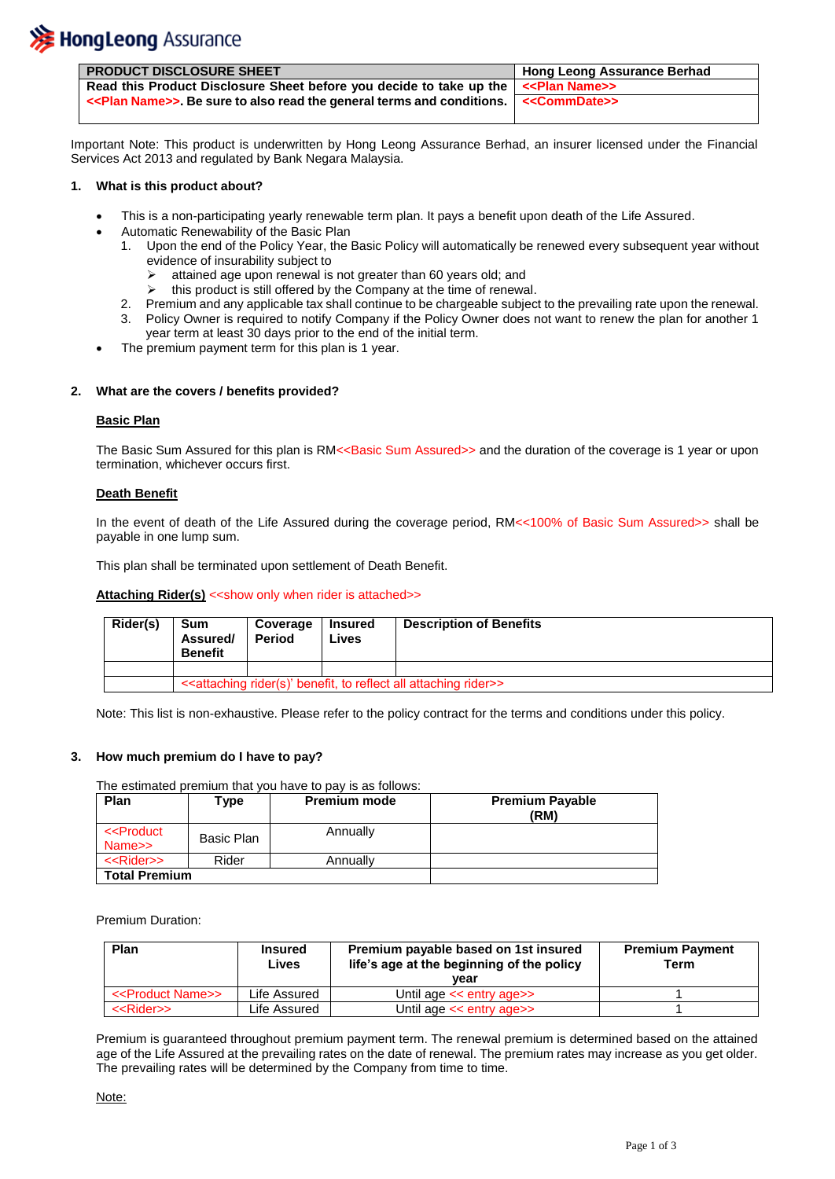

| <b>PRODUCT DISCLOSURE SHEET</b>                                                                               | <b>Hong Leong Assurance Berhad</b> |
|---------------------------------------------------------------------------------------------------------------|------------------------------------|
| Read this Product Disclosure Sheet before you decide to take up the $\vert$ < Plan Name>                      |                                    |
| < <plan name="">&gt;. Be sure to also read the general terms and conditions. &lt;&lt; CommDate&gt;&gt;</plan> |                                    |

Important Note: This product is underwritten by Hong Leong Assurance Berhad, an insurer licensed under the Financial Services Act 2013 and regulated by Bank Negara Malaysia.

# **1. What is this product about?**

- This is a non-participating yearly renewable term plan. It pays a benefit upon death of the Life Assured.
- Automatic Renewability of the Basic Plan
	- 1. Upon the end of the Policy Year, the Basic Policy will automatically be renewed every subsequent year without evidence of insurability subject to
		- attained age upon renewal is not greater than 60 years old; and
		- $\triangleright$  this product is still offered by the Company at the time of renewal.
	- 2. Premium and any applicable tax shall continue to be chargeable subject to the prevailing rate upon the renewal.
	- 3. Policy Owner is required to notify Company if the Policy Owner does not want to renew the plan for another 1 year term at least 30 days prior to the end of the initial term.
- The premium payment term for this plan is 1 year.

## **2. What are the covers / benefits provided?**

## **Basic Plan**

The Basic Sum Assured for this plan is RM<<Basic Sum Assured>> and the duration of the coverage is 1 year or upon termination, whichever occurs first.

## **Death Benefit**

In the event of death of the Life Assured during the coverage period, RM<<100% of Basic Sum Assured>> shall be payable in one lump sum.

This plan shall be terminated upon settlement of Death Benefit.

# **Attaching Rider(s)** << show only when rider is attached>>

| Rider(s) | Sum<br>Assured/<br><b>Benefit</b>                                                                    | Coverage<br><b>Period</b> | <b>Insured</b><br>Lives | <b>Description of Benefits</b> |
|----------|------------------------------------------------------------------------------------------------------|---------------------------|-------------------------|--------------------------------|
|          |                                                                                                      |                           |                         |                                |
|          | < <attaching all="" attaching="" benefit,="" reflect="" rider="" rider(s)'="" to="">&gt;</attaching> |                           |                         |                                |

Note: This list is non-exhaustive. Please refer to the policy contract for the terms and conditions under this policy.

## **3. How much premium do I have to pay?**

## The estimated premium that you have to pay is as follows:

| <b>Plan</b>                             | ⊺vpe       | <b>Premium mode</b> | <b>Premium Payable</b><br>(RM) |
|-----------------------------------------|------------|---------------------|--------------------------------|
| < <product<br>Name&gt;&gt;</product<br> | Basic Plan | Annually            |                                |
| < <rider>&gt;</rider>                   | Rider      | Annually            |                                |
| <b>Total Premium</b>                    |            |                     |                                |

Premium Duration:

| <b>Plan</b>                       | <b>Insured</b><br>Lives | Premium payable based on 1st insured<br>life's age at the beginning of the policy<br>vear | <b>Premium Payment</b><br>Term |
|-----------------------------------|-------------------------|-------------------------------------------------------------------------------------------|--------------------------------|
| < <product name="">&gt;</product> | Life Assured            | Until age $<<$ entry age $>>$                                                             |                                |
| <rider>&gt;</rider>               | Life Assured            | Until age << entry age>>                                                                  |                                |

Premium is guaranteed throughout premium payment term. The renewal premium is determined based on the attained age of the Life Assured at the prevailing rates on the date of renewal. The premium rates may increase as you get older. The prevailing rates will be determined by the Company from time to time.

Note: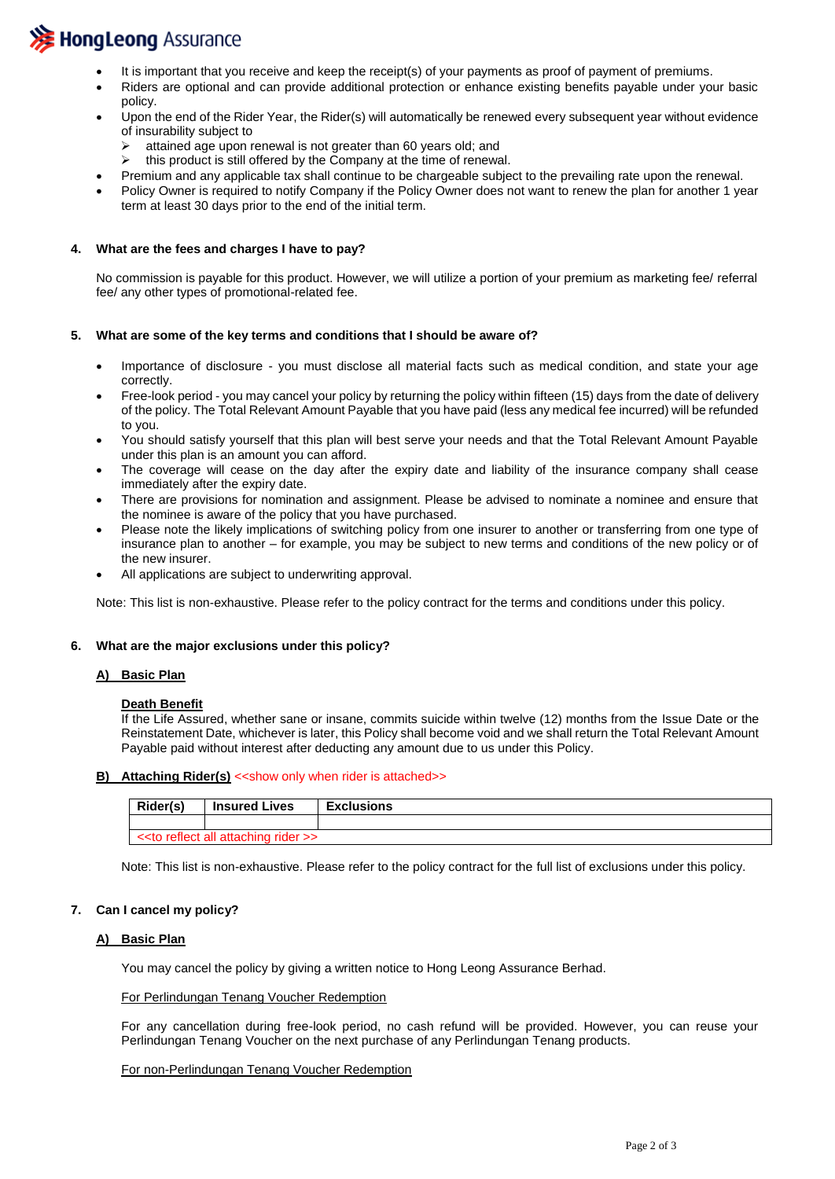

- It is important that you receive and keep the receipt(s) of your payments as proof of payment of premiums.
- Riders are optional and can provide additional protection or enhance existing benefits payable under your basic policy.
- Upon the end of the Rider Year, the Rider(s) will automatically be renewed every subsequent year without evidence of insurability subject to
	- attained age upon renewal is not greater than 60 years old; and
	- $\triangleright$  this product is still offered by the Company at the time of renewal.
- Premium and any applicable tax shall continue to be chargeable subject to the prevailing rate upon the renewal.
- Policy Owner is required to notify Company if the Policy Owner does not want to renew the plan for another 1 year term at least 30 days prior to the end of the initial term.

## **4. What are the fees and charges I have to pay?**

No commission is payable for this product. However, we will utilize a portion of your premium as marketing fee/ referral fee/ any other types of promotional-related fee.

### **5. What are some of the key terms and conditions that I should be aware of?**

- Importance of disclosure you must disclose all material facts such as medical condition, and state your age correctly.
- Free-look period you may cancel your policy by returning the policy within fifteen (15) days from the date of delivery of the policy. The Total Relevant Amount Payable that you have paid (less any medical fee incurred) will be refunded to you.
- You should satisfy yourself that this plan will best serve your needs and that the Total Relevant Amount Payable under this plan is an amount you can afford.
- The coverage will cease on the day after the expiry date and liability of the insurance company shall cease immediately after the expiry date.
- There are provisions for nomination and assignment. Please be advised to nominate a nominee and ensure that the nominee is aware of the policy that you have purchased.
- Please note the likely implications of switching policy from one insurer to another or transferring from one type of insurance plan to another – for example, you may be subject to new terms and conditions of the new policy or of the new insurer.
- All applications are subject to underwriting approval.

Note: This list is non-exhaustive. Please refer to the policy contract for the terms and conditions under this policy.

#### **6. What are the major exclusions under this policy?**

#### **A) Basic Plan**

#### **Death Benefit**

If the Life Assured, whether sane or insane, commits suicide within twelve (12) months from the Issue Date or the Reinstatement Date, whichever is later, this Policy shall become void and we shall return the Total Relevant Amount Payable paid without interest after deducting any amount due to us under this Policy.

#### **B)** Attaching Rider(s) << show only when rider is attached>>

| Rider(s) | <b>Insured Lives</b>              | <b>Exclusions</b> |  |
|----------|-----------------------------------|-------------------|--|
|          |                                   |                   |  |
|          | << to reflect all attaching rider |                   |  |

Note: This list is non-exhaustive. Please refer to the policy contract for the full list of exclusions under this policy.

## **7. Can I cancel my policy?**

# **A) Basic Plan**

You may cancel the policy by giving a written notice to Hong Leong Assurance Berhad.

#### For Perlindungan Tenang Voucher Redemption

For any cancellation during free-look period, no cash refund will be provided. However, you can reuse your Perlindungan Tenang Voucher on the next purchase of any Perlindungan Tenang products.

#### For non-Perlindungan Tenang Voucher Redemption